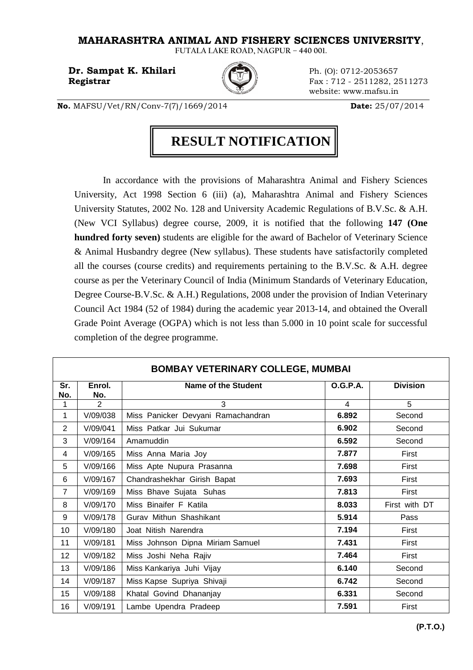## **MAHARASHTRA ANIMAL AND FISHERY SCIENCES UNIVERSITY**,

**FUTALA LAKE ROAD, NAGPUR – 440 001.** 

**Dr. Sampat K. Khilari Ph.** (0): 0712-2053657



**Registrar Fax** : 712 - 2511282, 2511273 website: www.mafsu.in

**No.** MAFSU/Vet/RN/Conv-7(7)/1669/2014 **Date:** 25/07/2014

## **RESULT NOTIFICATION**

In accordance with the provisions of Maharashtra Animal and Fishery Sciences University, Act 1998 Section 6 (iii) (a), Maharashtra Animal and Fishery Sciences University Statutes, 2002 No. 128 and University Academic Regulations of B.V.Sc. & A.H. (New VCI Syllabus) degree course, 2009, it is notified that the following **147 (One hundred forty seven)** students are eligible for the award of Bachelor of Veterinary Science & Animal Husbandry degree (New syllabus). These students have satisfactorily completed all the courses (course credits) and requirements pertaining to the B.V.Sc. & A.H. degree course as per the Veterinary Council of India (Minimum Standards of Veterinary Education, Degree Course-B.V.Sc. & A.H.) Regulations, 2008 under the provision of Indian Veterinary Council Act 1984 (52 of 1984) during the academic year 2013-14, and obtained the Overall Grade Point Average (OGPA) which is not less than 5.000 in 10 point scale for successful completion of the degree programme.

| <b>BOMBAY VETERINARY COLLEGE, MUMBAI</b> |               |                                    |                 |                 |  |
|------------------------------------------|---------------|------------------------------------|-----------------|-----------------|--|
| Sr.<br>No.                               | Enrol.<br>No. | Name of the Student                | <b>O.G.P.A.</b> | <b>Division</b> |  |
| 1                                        | 2             | 3                                  | 4               | 5               |  |
| 1                                        | V/09/038      | Miss Panicker Devyani Ramachandran | 6.892           | Second          |  |
| 2                                        | V/09/041      | Miss Patkar Jui Sukumar            | 6.902           | Second          |  |
| 3                                        | V/09/164      | Amamuddin                          | 6.592           | Second          |  |
| 4                                        | V/09/165      | Miss Anna Maria Joy                | 7.877           | First           |  |
| 5                                        | V/09/166      | Miss Apte Nupura Prasanna          | 7.698           | First           |  |
| 6                                        | V/09/167      | Chandrashekhar Girish Bapat        | 7.693           | First           |  |
| $\overline{7}$                           | V/09/169      | Miss Bhave Sujata Suhas            | 7.813           | First           |  |
| 8                                        | V/09/170      | Miss Binaifer F Katila             | 8.033           | First with DT   |  |
| 9                                        | V/09/178      | Gurav Mithun Shashikant            | 5.914           | Pass            |  |
| 10                                       | V/09/180      | Joat Nitish Narendra               | 7.194           | First           |  |
| 11                                       | V/09/181      | Miss Johnson Dipna Miriam Samuel   | 7.431           | First           |  |
| 12                                       | V/09/182      | Miss Joshi Neha Rajiv              | 7.464           | First           |  |
| 13                                       | V/09/186      | Miss Kankariya Juhi Vijay          | 6.140           | Second          |  |
| 14                                       | V/09/187      | Miss Kapse Supriya Shivaji         | 6.742           | Second          |  |
| 15                                       | V/09/188      | Khatal Govind Dhananjay            | 6.331           | Second          |  |
| 16                                       | V/09/191      | Lambe Upendra Pradeep              | 7.591           | First           |  |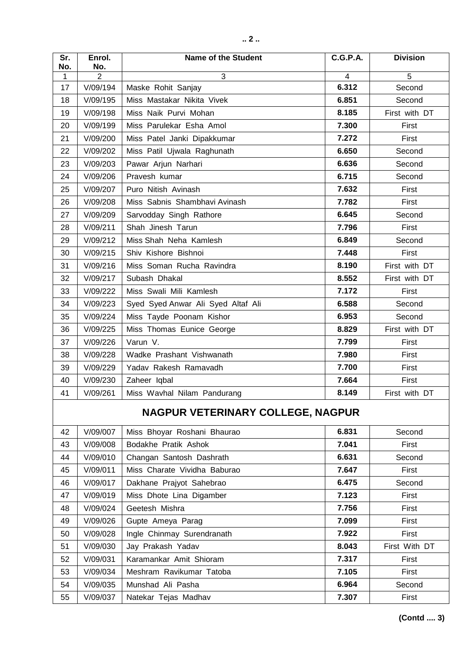| Sr.<br>No.                        | Enrol.<br>No. | <b>Name of the Student</b>         | <b>C.G.P.A.</b> | <b>Division</b> |  |
|-----------------------------------|---------------|------------------------------------|-----------------|-----------------|--|
| 1                                 | 2             | 3                                  | 4               | 5               |  |
| 17                                | V/09/194      | Maske Rohit Sanjay                 | 6.312           | Second          |  |
| 18                                | V/09/195      | Miss Mastakar Nikita Vivek         | 6.851           | Second          |  |
| 19                                | V/09/198      | Miss Naik Purvi Mohan              | 8.185           | First with DT   |  |
| 20                                | V/09/199      | Miss Parulekar Esha Amol           | 7.300           | First           |  |
| 21                                | V/09/200      | Miss Patel Janki Dipakkumar        | 7.272           | First           |  |
| 22                                | V/09/202      | Miss Patil Ujwala Raghunath        | 6.650           | Second          |  |
| 23                                | V/09/203      | Pawar Arjun Narhari                | 6.636           | Second          |  |
| 24                                | V/09/206      | Pravesh kumar                      | 6.715           | Second          |  |
| 25                                | V/09/207      | Puro Nitish Avinash                | 7.632           | First           |  |
| 26                                | V/09/208      | Miss Sabnis Shambhavi Avinash      | 7.782           | First           |  |
| 27                                | V/09/209      | Sarvodday Singh Rathore            | 6.645           | Second          |  |
| 28                                | V/09/211      | Shah Jinesh Tarun                  | 7.796           | First           |  |
| 29                                | V/09/212      | Miss Shah Neha Kamlesh             | 6.849           | Second          |  |
| 30                                | V/09/215      | Shiv Kishore Bishnoi               | 7.448           | First           |  |
| 31                                | V/09/216      | Miss Soman Rucha Ravindra          | 8.190           | First with DT   |  |
| 32                                | V/09/217      | Subash Dhakal                      | 8.552           | First with DT   |  |
| 33                                | V/09/222      | Miss Swali Mili Kamlesh            | 7.172           | First           |  |
| 34                                | V/09/223      | Syed Syed Anwar Ali Syed Altaf Ali | 6.588           | Second          |  |
| 35                                | V/09/224      | Miss Tayde Poonam Kishor           | 6.953           | Second          |  |
| 36                                | V/09/225      | Miss Thomas Eunice George          | 8.829           | First with DT   |  |
| 37                                | V/09/226      | Varun V.                           | 7.799           | First           |  |
| 38                                | V/09/228      | Wadke Prashant Vishwanath          | 7.980           | First           |  |
| 39                                | V/09/229      | Yadav Rakesh Ramavadh              | 7.700           | First           |  |
| 40                                | V/09/230      | Zaheer Iqbal                       | 7.664           | First           |  |
| 41                                | V/09/261      | Miss Wavhal Nilam Pandurang        | 8.149           | First with DT   |  |
| NAGPUR VETERINARY COLLEGE, NAGPUR |               |                                    |                 |                 |  |
| 42                                | V/09/007      | Miss Bhoyar Roshani Bhaurao        | 6.831           | Second          |  |
| 43                                | V/09/008      | Bodakhe Pratik Ashok               | 7.041           | First           |  |
| 44                                | V/09/010      | Changan Santosh Dashrath           | 6.631           | Second          |  |
| 45                                | V/09/011      | Miss Charate Vividha Baburao       | 7.647           | First           |  |
| 46                                | V/09/017      | Dakhane Prajyot Sahebrao           | 6.475           | Second          |  |
| 47                                | V/09/019      | Miss Dhote Lina Digamber           | 7.123           | First           |  |
| 48                                | V/09/024      | Geetesh Mishra                     | 7.756           | First           |  |
| 49                                | V/09/026      | Gupte Ameya Parag                  | 7.099           | First           |  |
| 50                                | V/09/028      | Ingle Chinmay Surendranath         | 7.922           | First           |  |
| 51                                | V/09/030      | Jay Prakash Yadav                  | 8.043           | First With DT   |  |
| 52                                | V/09/031      | Karamankar Amit Shioram            | 7.317           | First           |  |
| 53                                | V/09/034      | Meshram Ravikumar Tatoba           | 7.105           | First           |  |
| 54                                | V/09/035      | Munshad Ali Pasha                  | 6.964           | Second          |  |
| 55                                | V/09/037      | Natekar Tejas Madhav               | 7.307           | First           |  |

 **(Contd .... 3)**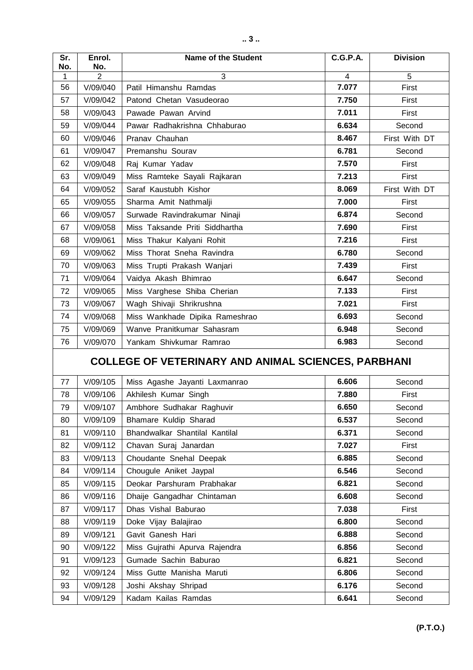| Sr. | Enrol.         | <b>Name of the Student</b>     | <b>C.G.P.A.</b> | <b>Division</b> |
|-----|----------------|--------------------------------|-----------------|-----------------|
| No. | No.            |                                |                 |                 |
| 1   | $\overline{2}$ | $\overline{3}$                 | 4               | 5               |
| 56  | V/09/040       | Patil Himanshu Ramdas          | 7.077           | First           |
| 57  | V/09/042       | Patond Chetan Vasudeorao       | 7.750           | First           |
| 58  | V/09/043       | Pawade Pawan Arvind            | 7.011           | First           |
| 59  | V/09/044       | Pawar Radhakrishna Chhaburao   | 6.634           | Second          |
| 60  | V/09/046       | Pranav Chauhan                 | 8.467           | First With DT   |
| 61  | V/09/047       | Premanshu Sourav               | 6.781           | Second          |
| 62  | V/09/048       | Raj Kumar Yadav                | 7.570           | First           |
| 63  | V/09/049       | Miss Ramteke Sayali Rajkaran   | 7.213           | First           |
| 64  | V/09/052       | Saraf Kaustubh Kishor          | 8.069           | First With DT   |
| 65  | V/09/055       | Sharma Amit Nathmalji          | 7.000           | First           |
| 66  | V/09/057       | Surwade Ravindrakumar Ninaji   | 6.874           | Second          |
| 67  | V/09/058       | Miss Taksande Priti Siddhartha | 7.690           | First           |
| 68  | V/09/061       | Miss Thakur Kalyani Rohit      | 7.216           | First           |
| 69  | V/09/062       | Miss Thorat Sneha Ravindra     | 6.780           | Second          |
| 70  | V/09/063       | Miss Trupti Prakash Wanjari    | 7.439           | First           |
| 71  | V/09/064       | Vaidya Akash Bhimrao           | 6.647           | Second          |
| 72  | V/09/065       | Miss Varghese Shiba Cherian    | 7.133           | First           |
| 73  | V/09/067       | Wagh Shivaji Shrikrushna       | 7.021           | First           |
| 74  | V/09/068       | Miss Wankhade Dipika Rameshrao | 6.693           | Second          |
| 75  | V/09/069       | Wanve Pranitkumar Sahasram     | 6.948           | Second          |
| 76  | V/09/070       | Yankam Shivkumar Ramrao        | 6.983           | Second          |

## **COLLEGE OF VETERINARY AND ANIMAL SCIENCES, PARBHANI**

| 77 | V/09/105 | Miss Agashe Jayanti Laxmanrao  | 6.606 | Second |
|----|----------|--------------------------------|-------|--------|
| 78 | V/09/106 | Akhilesh Kumar Singh           | 7.880 | First  |
| 79 | V/09/107 | Ambhore Sudhakar Raghuvir      | 6.650 | Second |
| 80 | V/09/109 | Bhamare Kuldip Sharad          | 6.537 | Second |
| 81 | V/09/110 | Bhandwalkar Shantilal Kantilal | 6.371 | Second |
| 82 | V/09/112 | Chavan Suraj Janardan          | 7.027 | First  |
| 83 | V/09/113 | Choudante Snehal Deepak        | 6.885 | Second |
| 84 | V/09/114 | Chougule Aniket Jaypal         | 6.546 | Second |
| 85 | V/09/115 | Deokar Parshuram Prabhakar     | 6.821 | Second |
| 86 | V/09/116 | Dhaije Gangadhar Chintaman     | 6.608 | Second |
| 87 | V/09/117 | Dhas Vishal Baburao            | 7.038 | First  |
| 88 | V/09/119 | Doke Vijay Balajirao           | 6.800 | Second |
| 89 | V/09/121 | Gavit Ganesh Hari              | 6.888 | Second |
| 90 | V/09/122 | Miss Gujrathi Apurva Rajendra  | 6.856 | Second |
| 91 | V/09/123 | Gumade Sachin Baburao          | 6.821 | Second |
| 92 | V/09/124 | Miss Gutte Manisha Maruti      | 6.806 | Second |
| 93 | V/09/128 | Joshi Akshay Shripad           | 6.176 | Second |
| 94 | V/09/129 | Kadam Kailas Ramdas            | 6.641 | Second |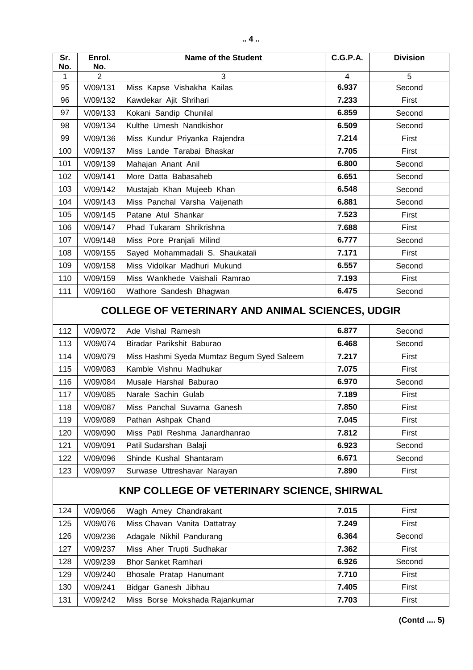| Sr.<br>No.                                              | Enrol.<br>No. | <b>Name of the Student</b>                 | <b>C.G.P.A.</b> | <b>Division</b> |  |
|---------------------------------------------------------|---------------|--------------------------------------------|-----------------|-----------------|--|
| 1                                                       | 2             | 3                                          | 4               | 5               |  |
| 95                                                      | V/09/131      | Miss Kapse Vishakha Kailas                 | 6.937           | Second          |  |
| 96                                                      | V/09/132      | Kawdekar Ajit Shrihari                     | 7.233           | First           |  |
| 97                                                      | V/09/133      | Kokani Sandip Chunilal                     | 6.859           | Second          |  |
| 98                                                      | V/09/134      | Kulthe Umesh Nandkishor                    | 6.509           | Second          |  |
| 99                                                      | V/09/136      | Miss Kundur Priyanka Rajendra              | 7.214           | First           |  |
| 100                                                     | V/09/137      | Miss Lande Tarabai Bhaskar                 | 7.705           | First           |  |
| 101                                                     | V/09/139      | Mahajan Anant Anil                         | 6.800           | Second          |  |
| 102                                                     | V/09/141      | More Datta Babasaheb                       | 6.651           | Second          |  |
| 103                                                     | V/09/142      | Mustajab Khan Mujeeb Khan                  | 6.548           | Second          |  |
| 104                                                     | V/09/143      | Miss Panchal Varsha Vaijenath              | 6.881           | Second          |  |
| 105                                                     | V/09/145      | Patane Atul Shankar                        | 7.523           | First           |  |
| 106                                                     | V/09/147      | Phad Tukaram Shrikrishna                   | 7.688           | First           |  |
| 107                                                     | V/09/148      | Miss Pore Pranjali Milind                  | 6.777           | Second          |  |
| 108                                                     | V/09/155      | Sayed Mohammadali S. Shaukatali            | 7.171           | First           |  |
| 109                                                     | V/09/158      | Miss Vidolkar Madhuri Mukund               | 6.557           | Second          |  |
| 110                                                     | V/09/159      | Miss Wankhede Vaishali Ramrao              | 7.193           | First           |  |
| 111                                                     | V/09/160      | Wathore Sandesh Bhagwan                    | 6.475           | Second          |  |
| <b>COLLEGE OF VETERINARY AND ANIMAL SCIENCES, UDGIR</b> |               |                                            |                 |                 |  |
| 112                                                     | V/09/072      | Ade Vishal Ramesh                          | 6.877           | Second          |  |
| 113                                                     | V/09/074      | Biradar Parikshit Baburao                  | 6.468           | Second          |  |
| 114                                                     | V/09/079      | Miss Hashmi Syeda Mumtaz Begum Syed Saleem | 7.217           | First           |  |
| 115                                                     | V/09/083      | Kamble Vishnu Madhukar                     | 7.075           | First           |  |
| 116                                                     | V/09/084      | Musale Harshal Baburao                     | 6.970           | Second          |  |
| 117                                                     | V/09/085      | Narale Sachin Gulab                        | 7.189           | First           |  |
| 118                                                     | V/09/087      | Miss Panchal Suvarna Ganesh                | 7.850           | First           |  |
| 119                                                     | V/09/089      | Pathan Ashpak Chand                        | 7.045           | First           |  |
| 120                                                     | V/09/090      | Miss Patil Reshma Janardhanrao             | 7.812           | First           |  |
| 121                                                     | V/09/091      | Patil Sudarshan Balaji                     | 6.923           | Second          |  |
| 122                                                     | V/09/096      | Shinde Kushal Shantaram                    | 6.671           | Second          |  |
| 123                                                     | V/09/097      | Surwase Uttreshavar Narayan                | 7.890           | First           |  |
| KNP COLLEGE OF VETERINARY SCIENCE, SHIRWAL              |               |                                            |                 |                 |  |
| 124                                                     | V/09/066      | Wagh Amey Chandrakant                      | 7.015           | First           |  |
| 125                                                     | V/09/076      | Miss Chavan Vanita Dattatray               | 7.249           | First           |  |
| 126                                                     | V/09/236      | Adagale Nikhil Pandurang                   | 6.364           | Second          |  |
| 127                                                     | V/09/237      | Miss Aher Trupti Sudhakar                  | 7.362           | First           |  |
| 128                                                     | V/09/239      | <b>Bhor Sanket Ramhari</b>                 | 6.926           | Second          |  |
| 129                                                     | V/09/240      | Bhosale Pratap Hanumant                    | 7.710           | First           |  |
| 130                                                     | V/09/241      | Bidgar Ganesh Jibhau                       | 7.405           | First           |  |
| 131                                                     | V/09/242      | Miss Borse Mokshada Rajankumar             | 7.703           | First           |  |

 **(Contd .... 5)**